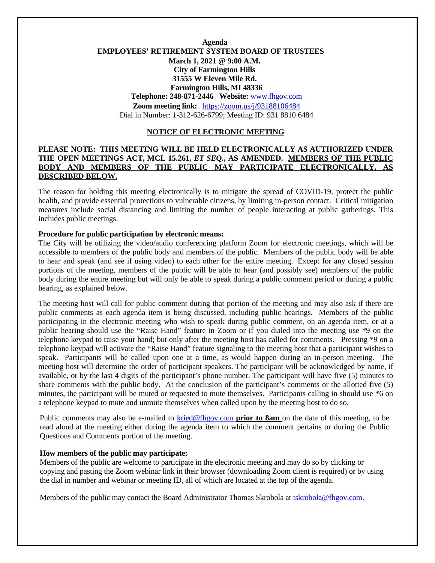# **Agenda EMPLOYEES' RETIREMENT SYSTEM BOARD OF TRUSTEES March 1, 2021 @ 9:00 A.M. City of Farmington Hills 31555 W Eleven Mile Rd. Farmington Hills, MI 48336 Telephone: 248-871-2446 Website:** [www.fhgov.com](http://www.fhgov.com/) **Zoom meeting link:** https://zoom.us/j/93188106484 Dial in Number: 1-312-626-6799; Meeting ID: 931 8810 6484

#### **NOTICE OF ELECTRONIC MEETING**

## **PLEASE NOTE: THIS MEETING WILL BE HELD ELECTRONICALLY AS AUTHORIZED UNDER THE OPEN MEETINGS ACT, MCL 15.261,** *ET SEQ***., AS AMENDED. MEMBERS OF THE PUBLIC BODY AND MEMBERS OF THE PUBLIC MAY PARTICIPATE ELECTRONICALLY, AS DESCRIBED BELOW.**

The reason for holding this meeting electronically is to mitigate the spread of COVID-19, protect the public health, and provide essential protections to vulnerable citizens, by limiting in-person contact. Critical mitigation measures include social distancing and limiting the number of people interacting at public gatherings. This includes public meetings.

## **Procedure for public participation by electronic means:**

The City will be utilizing the video/audio conferencing platform Zoom for electronic meetings, which will be accessible to members of the public body and members of the public. Members of the public body will be able to hear and speak (and see if using video) to each other for the entire meeting. Except for any closed session portions of the meeting, members of the public will be able to hear (and possibly see) members of the public body during the entire meeting but will only be able to speak during a public comment period or during a public hearing, as explained below.

The meeting host will call for public comment during that portion of the meeting and may also ask if there are public comments as each agenda item is being discussed, including public hearings. Members of the public participating in the electronic meeting who wish to speak during public comment, on an agenda item, or at a public hearing should use the "Raise Hand" feature in Zoom or if you dialed into the meeting use \*9 on the telephone keypad to raise your hand; but only after the meeting host has called for comments. Pressing \*9 on a telephone keypad will activate the "Raise Hand" feature signaling to the meeting host that a participant wishes to speak. Participants will be called upon one at a time, as would happen during an in-person meeting. The meeting host will determine the order of participant speakers. The participant will be acknowledged by name, if available, or by the last 4 digits of the participant's phone number. The participant will have five (5) minutes to share comments with the public body.At the conclusion of the participant's comments or the allotted five (5) minutes, the participant will be muted or requested to mute themselves. Participants calling in should use \*6 on a telephone keypad to mute and unmute themselves when called upon by the meeting host to do so.

Public comments may also be e-mailed to [kried@fhgov.com](mailto:kried@fhgov.com) **prior to 8am** on the date of this meeting, to be read aloud at the meeting either during the agenda item to which the comment pertains or during the Public Questions and Comments portion of the meeting.

#### **How members of the public may participate:**

Members of the public are welcome to participate in the electronic meeting and may do so by clicking or copying and pasting the Zoom webinar link in their browser (downloading Zoom client is required) or by using the dial in number and webinar or meeting ID, all of which are located at the top of the agenda.

Members of the public may contact the Board Administrator Thomas Skrobola at [tskrobola@fhgov.com.](mailto:tskrobola@fhgov.com)